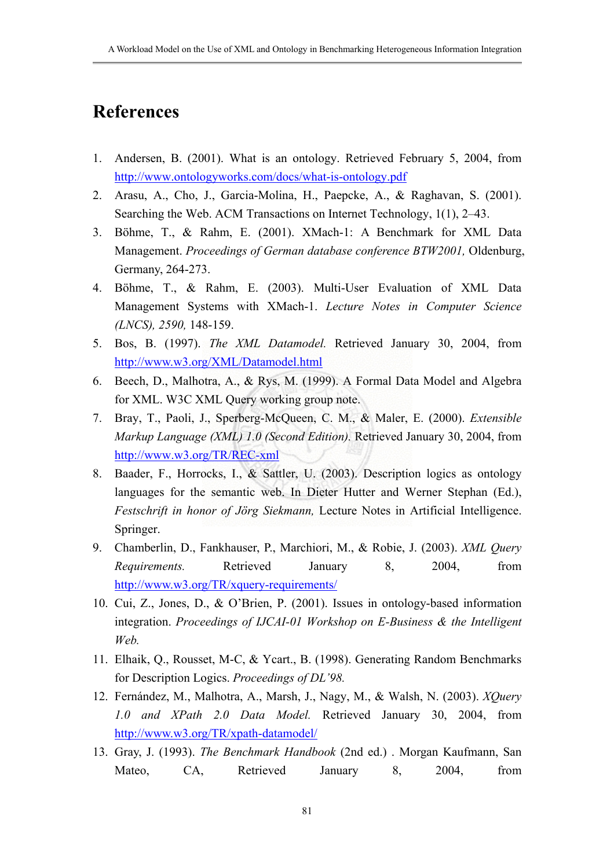## **References**

- 1. Andersen, B. (2001). What is an ontology. Retrieved February 5, 2004, from <http://www.ontologyworks.com/docs/what-is-ontology.pdf>
- 2. Arasu, A., Cho, J., Garcia-Molina, H., Paepcke, A., & Raghavan, S. (2001). Searching the Web. ACM Transactions on Internet Technology, 1(1), 2–43.
- 3. Böhme, T., & Rahm, E. (2001). XMach-1: A Benchmark for XML Data Management. *Proceedings of German database conference BTW2001,* Oldenburg, Germany, 264-273.
- 4. Böhme, T., & Rahm, E. (2003). Multi-User Evaluation of XML Data Management Systems with XMach-1. *Lecture Notes in Computer Science (LNCS), 2590,* 148-159.
- 5. Bos, B. (1997). *The XML Datamodel.* Retrieved January 30, 2004, from <http://www.w3.org/XML/Datamodel.html>
- 6. Beech, D., Malhotra, A., & Rys, M. (1999). A Formal Data Model and Algebra for XML. W3C XML Query working group note.
- 7. Bray, T., Paoli, J., Sperberg-McQueen, C. M., & Maler, E. (2000). *Extensible Markup Language (XML) 1.0 (Second Edition).* Retrieved January 30, 2004, from <http://www.w3.org/TR/REC-xml>
- 8. Baader, F., Horrocks, I., & Sattler, U. (2003). Description logics as ontology languages for the semantic web. In Dieter Hutter and Werner Stephan (Ed.), *Festschrift in honor of Jörg Siekmann,* Lecture Notes in Artificial Intelligence. Springer.
- 9. Chamberlin, D., Fankhauser, P., Marchiori, M., & Robie, J. (2003). *XML Query Requirements.* Retrieved January 8, 2004, from <http://www.w3.org/TR/xquery-requirements/>
- 10. Cui, Z., Jones, D., & O'Brien, P. (2001). Issues in ontology-based information integration. *Proceedings of IJCAI-01 Workshop on E-Business & the Intelligent Web.*
- 11. Elhaik, Q., Rousset, M-C, & Ycart., B. (1998). Generating Random Benchmarks for Description Logics. *Proceedings of DL'98.*
- 12. Fernández, M., Malhotra, A., Marsh, J., Nagy, M., & Walsh, N. (2003). *XQuery 1.0 and XPath 2.0 Data Model.* Retrieved January 30, 2004, from <http://www.w3.org/TR/xpath-datamodel/>
- 13. Gray, J. (1993). *The Benchmark Handbook* (2nd ed.) . Morgan Kaufmann, San Mateo, CA, Retrieved January 8, 2004, from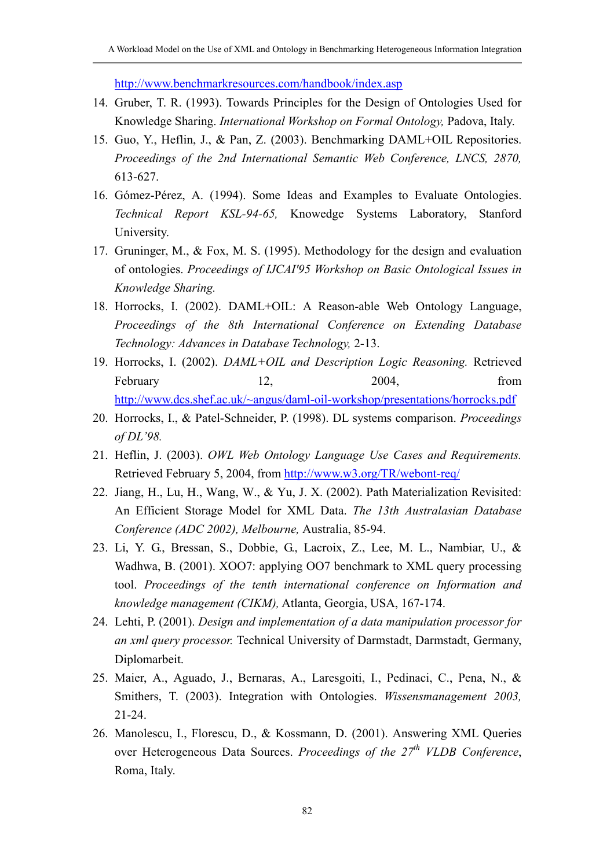<http://www.benchmarkresources.com/handbook/index.asp>

- 14. Gruber, T. R. (1993). Towards Principles for the Design of Ontologies Used for Knowledge Sharing. *International Workshop on Formal Ontology,* Padova, Italy.
- 15. Guo, Y., Heflin, J., & Pan, Z. (2003). Benchmarking DAML+OIL Repositories. *Proceedings of the 2nd International Semantic Web Conference, LNCS, 2870,*  613-627.
- 16. Gómez-Pérez, A. (1994). Some Ideas and Examples to Evaluate Ontologies. *Technical Report KSL-94-65,* Knowedge Systems Laboratory, Stanford University.
- 17. Gruninger, M., & Fox, M. S. (1995). Methodology for the design and evaluation of ontologies. *Proceedings of IJCAI'95 Workshop on Basic Ontological Issues in Knowledge Sharing.*
- 18. Horrocks, I. (2002). DAML+OIL: A Reason-able Web Ontology Language, *Proceedings of the 8th International Conference on Extending Database Technology: Advances in Database Technology,* 2-13.
- 19. Horrocks, I. (2002). *DAML+OIL and Description Logic Reasoning.* Retrieved February 12, 2004, from <http://www.dcs.shef.ac.uk/~angus/daml-oil-workshop/presentations/horrocks.pdf>
- 20. Horrocks, I., & Patel-Schneider, P. (1998). DL systems comparison. *Proceedings of DL'98.*
- 21. Heflin, J. (2003). *OWL Web Ontology Language Use Cases and Requirements.* Retrieved February 5, 2004, from <http://www.w3.org/TR/webont-req/>
- 22. Jiang, H., Lu, H., Wang, W., & Yu, J. X. (2002). Path Materialization Revisited: An Efficient Storage Model for XML Data. *The 13th Australasian Database Conference (ADC 2002), Melbourne,* Australia, 85-94.
- 23. Li, Y. G., Bressan, S., Dobbie, G., Lacroix, Z., Lee, M. L., Nambiar, U., & Wadhwa, B. (2001). XOO7: applying OO7 benchmark to XML query processing tool. *Proceedings of the tenth international conference on Information and knowledge management (CIKM),* Atlanta, Georgia, USA, 167-174.
- 24. Lehti, P. (2001). *Design and implementation of a data manipulation processor for an xml query processor.* Technical University of Darmstadt, Darmstadt, Germany, Diplomarbeit.
- 25. Maier, A., Aguado, J., Bernaras, A., Laresgoiti, I., Pedinaci, C., Pena, N., & Smithers, T. (2003). Integration with Ontologies. *Wissensmanagement 2003,* 21-24.
- 26. Manolescu, I., Florescu, D., & Kossmann, D. (2001). Answering XML Queries over Heterogeneous Data Sources. *Proceedings of the 27<sup>th</sup> VLDB Conference*, Roma, Italy.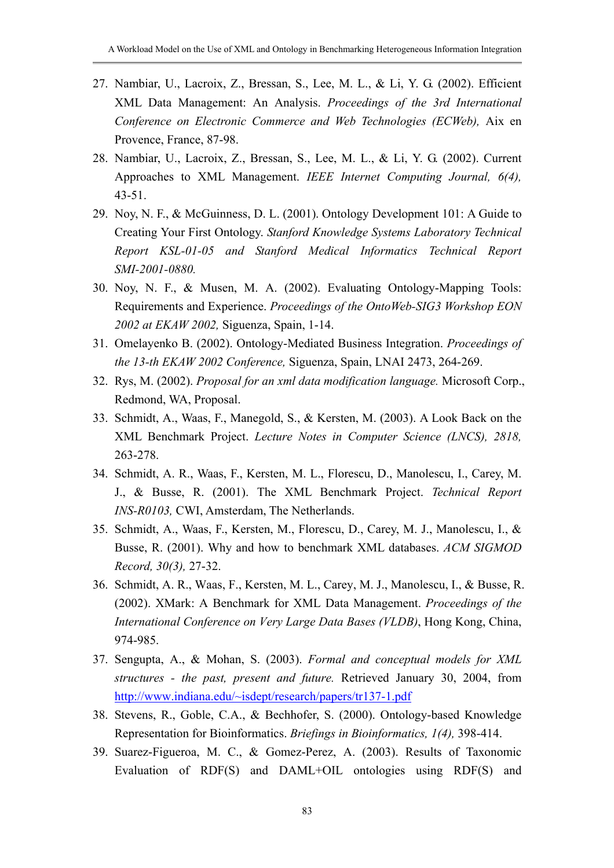- 27. Nambiar, U., Lacroix, Z., Bressan, S., Lee, M. L., & Li, Y. G. (2002). Efficient XML Data Management: An Analysis. *Proceedings of the 3rd International Conference on Electronic Commerce and Web Technologies (ECWeb),* Aix en Provence, France, 87-98.
- 28. Nambiar, U., Lacroix, Z., Bressan, S., Lee, M. L., & Li, Y. G. (2002). Current Approaches to XML Management. *IEEE Internet Computing Journal, 6(4),* 43-51.
- 29. Noy, N. F., & McGuinness, D. L. (2001). Ontology Development 101: A Guide to Creating Your First Ontology. *Stanford Knowledge Systems Laboratory Technical Report KSL-01-05 and Stanford Medical Informatics Technical Report SMI-2001-0880.*
- 30. Noy, N. F., & Musen, M. A. (2002). Evaluating Ontology-Mapping Tools: Requirements and Experience. *Proceedings of the OntoWeb-SIG3 Workshop EON 2002 at EKAW 2002,* Siguenza, Spain, 1-14.
- 31. Omelayenko B. (2002). Ontology-Mediated Business Integration. *Proceedings of the 13-th EKAW 2002 Conference,* Siguenza, Spain, LNAI 2473, 264-269.
- 32. Rys, M. (2002). *Proposal for an xml data modification language.* Microsoft Corp., Redmond, WA, Proposal.
- 33. Schmidt, A., Waas, F., Manegold, S., & Kersten, M. (2003). A Look Back on the XML Benchmark Project. *Lecture Notes in Computer Science (LNCS), 2818,* 263-278.
- 34. Schmidt, A. R., Waas, F., Kersten, M. L., Florescu, D., Manolescu, I., Carey, M. J., & Busse, R. (2001). The XML Benchmark Project. *Technical Report INS-R0103,* CWI, Amsterdam, The Netherlands.
- 35. Schmidt, A., Waas, F., Kersten, M., Florescu, D., Carey, M. J., Manolescu, I., & Busse, R. (2001). Why and how to benchmark XML databases. *ACM SIGMOD Record, 30(3),* 27-32.
- 36. Schmidt, A. R., Waas, F., Kersten, M. L., Carey, M. J., Manolescu, I., & Busse, R. (2002). XMark: A Benchmark for XML Data Management. *Proceedings of the International Conference on Very Large Data Bases (VLDB)*, Hong Kong, China, 974-985.
- 37. Sengupta, A., & Mohan, S. (2003). *[Formal and conceptual models for XML](http://www.indiana.edu/~isdept/research/papers/tr137-1.pdf) [structures - the past, present and future](http://www.indiana.edu/~isdept/research/papers/tr137-1.pdf).* Retrieved January 30, 2004, from <http://www.indiana.edu/~isdept/research/papers/tr137-1.pdf>
- 38. Stevens, R., Goble, C.A., & Bechhofer, S. (2000). Ontology-based Knowledge Representation for Bioinformatics. *Briefings in Bioinformatics, 1(4),* 398-414.
- 39. Suarez-Figueroa, M. C., & Gomez-Perez, A. (2003). Results of Taxonomic Evaluation of RDF(S) and DAML+OIL ontologies using RDF(S) and